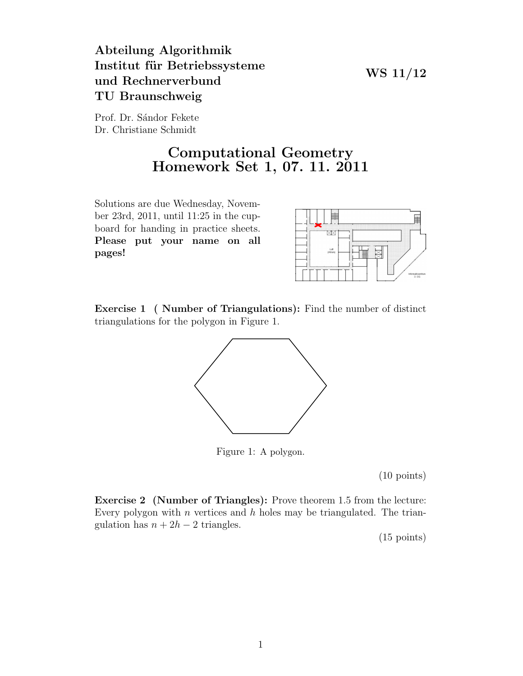## Abteilung Algorithmik Institut für Betriebssysteme und Rechnerverbund TU Braunschweig

WS 11/12

Prof. Dr. Sándor Fekete Dr. Christiane Schmidt

## Computational Geometry Homework Set 1, 07. 11. 2011

Solutions are due Wednesday, November 23rd, 2011, until 11:25 in the cupboard for handing in practice sheets. Please put your name on all pages!



Exercise 1 ( Number of Triangulations): Find the number of distinct triangulations for the polygon in Figure 1.



Figure 1: A polygon.

(10 points)

Exercise 2 (Number of Triangles): Prove theorem 1.5 from the lecture: Every polygon with  $n$  vertices and  $h$  holes may be triangulated. The triangulation has  $n + 2h - 2$  triangles.

(15 points)